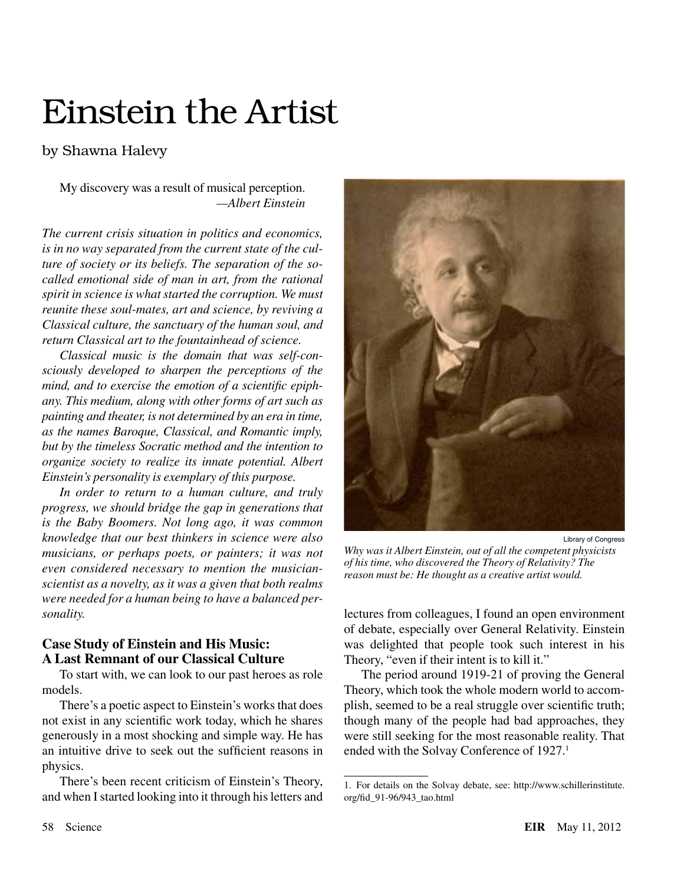# Einstein the Artist

## by Shawna Halevy

My discovery was a result of musical perception. *—Albert Einstein*

*The current crisis situation in politics and economics, is in no way separated from the current state of the culture of society or its beliefs. The separation of the socalled emotional side of man in art, from the rational spirit in science is what started the corruption. We must reunite these soul-mates, art and science, by reviving a Classical culture, the sanctuary of the human soul, and return Classical art to the fountainhead of science.*

*Classical music is the domain that was self-consciously developed to sharpen the perceptions of the mind, and to exercise the emotion of a scientific epiphany. This medium, along with other forms of art such as painting and theater, is not determined by an era in time, as the names Baroque, Classical, and Romantic imply, but by the timeless Socratic method and the intention to organize society to realize its innate potential. Albert Einstein's personality is exemplary of this purpose.*

*In order to return to a human culture, and truly progress, we should bridge the gap in generations that is the Baby Boomers. Not long ago, it was common knowledge that our best thinkers in science were also musicians, or perhaps poets, or painters; it was not even considered necessary to mention the musicianscientist as a novelty, as it was a given that both realms were needed for a human being to have a balanced personality.*

## **Case Study of Einstein and His Music: A Last Remnant of our Classical Culture**

To start with, we can look to our past heroes as role models.

There's a poetic aspect to Einstein's works that does not exist in any scientific work today, which he shares generously in a most shocking and simple way. He has an intuitive drive to seek out the sufficient reasons in physics.

There's been recent criticism of Einstein's Theory, and when I started looking into it through his letters and



Library of Congress

*Why was it Albert Einstein, out of all the competent physicists of his time, who discovered the Theory of Relativity? The reason must be: He thought as a creative artist would.*

lectures from colleagues, I found an open environment of debate, especially over General Relativity. Einstein was delighted that people took such interest in his Theory, "even if their intent is to kill it."

The period around 1919-21 of proving the General Theory, which took the whole modern world to accomplish, seemed to be a real struggle over scientific truth; though many of the people had bad approaches, they were still seeking for the most reasonable reality. That ended with the Solvay Conference of 1927.<sup>1</sup>

<sup>1.</sup> For details on the Solvay debate, see: http://www.schillerinstitute. org/fid\_91-96/943\_tao.html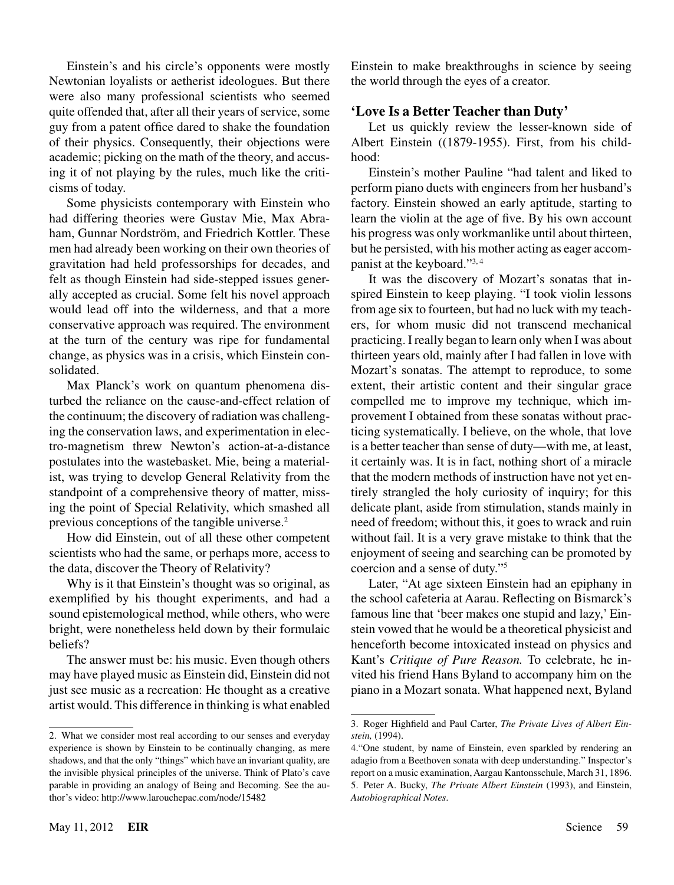Einstein's and his circle's opponents were mostly Newtonian loyalists or aetherist ideologues. But there were also many professional scientists who seemed quite offended that, after all their years of service, some guy from a patent office dared to shake the foundation of their physics. Consequently, their objections were academic; picking on the math of the theory, and accusing it of not playing by the rules, much like the criticisms of today.

Some physicists contemporary with Einstein who had differing theories were Gustav Mie, Max Abraham, Gunnar Nordström, and Friedrich Kottler. These men had already been working on their own theories of gravitation had held professorships for decades, and felt as though Einstein had side-stepped issues generally accepted as crucial. Some felt his novel approach would lead off into the wilderness, and that a more conservative approach was required. The environment at the turn of the century was ripe for fundamental change, as physics was in a crisis, which Einstein consolidated.

Max Planck's work on quantum phenomena disturbed the reliance on the cause-and-effect relation of the continuum; the discovery of radiation was challenging the conservation laws, and experimentation in electro-magnetism threw Newton's action-at-a-distance postulates into the wastebasket. Mie, being a materialist, was trying to develop General Relativity from the standpoint of a comprehensive theory of matter, missing the point of Special Relativity, which smashed all previous conceptions of the tangible universe.<sup>2</sup>

How did Einstein, out of all these other competent scientists who had the same, or perhaps more, access to the data, discover the Theory of Relativity?

Why is it that Einstein's thought was so original, as exemplified by his thought experiments, and had a sound epistemological method, while others, who were bright, were nonetheless held down by their formulaic beliefs?

The answer must be: his music. Even though others may have played music as Einstein did, Einstein did not just see music as a recreation: He thought as a creative artist would. This difference in thinking is what enabled Einstein to make breakthroughs in science by seeing the world through the eyes of a creator.

## **'Love Is a Better Teacher than Duty'**

Let us quickly review the lesser-known side of Albert Einstein ((1879-1955). First, from his childhood:

Einstein's mother Pauline "had talent and liked to perform piano duets with engineers from her husband's factory. Einstein showed an early aptitude, starting to learn the violin at the age of five. By his own account his progress was only workmanlike until about thirteen, but he persisted, with his mother acting as eager accompanist at the keyboard."3, 4

It was the discovery of Mozart's sonatas that inspired Einstein to keep playing. "I took violin lessons from age six to fourteen, but had no luck with my teachers, for whom music did not transcend mechanical practicing. I really began to learn only when I was about thirteen years old, mainly after I had fallen in love with Mozart's sonatas. The attempt to reproduce, to some extent, their artistic content and their singular grace compelled me to improve my technique, which improvement I obtained from these sonatas without practicing systematically. I believe, on the whole, that love is a better teacher than sense of duty—with me, at least, it certainly was. It is in fact, nothing short of a miracle that the modern methods of instruction have not yet entirely strangled the holy curiosity of inquiry; for this delicate plant, aside from stimulation, stands mainly in need of freedom; without this, it goes to wrack and ruin without fail. It is a very grave mistake to think that the enjoyment of seeing and searching can be promoted by coercion and a sense of duty."5

Later, "At age sixteen Einstein had an epiphany in the school cafeteria at Aarau. Reflecting on Bismarck's famous line that 'beer makes one stupid and lazy,' Einstein vowed that he would be a theoretical physicist and henceforth become intoxicated instead on physics and Kant's *Critique of Pure Reason.* To celebrate, he invited his friend Hans Byland to accompany him on the piano in a Mozart sonata. What happened next, Byland

<sup>2.</sup> What we consider most real according to our senses and everyday experience is shown by Einstein to be continually changing, as mere shadows, and that the only "things" which have an invariant quality, are the invisible physical principles of the universe. Think of Plato's cave parable in providing an analogy of Being and Becoming. See the author's video: http://www.larouchepac.com/node/15482

<sup>3.</sup> Roger Highfield and Paul Carter, *The Private Lives of Albert Einstein,* (1994).

<sup>4.&</sup>quot;One student, by name of Einstein, even sparkled by rendering an adagio from a Beethoven sonata with deep understanding." Inspector's report on a music examination, Aargau Kantonsschule, March 31, 1896. 5. Peter A. Bucky, *The Private Albert Einstein* (1993), and Einstein, *Autobiographical Notes*.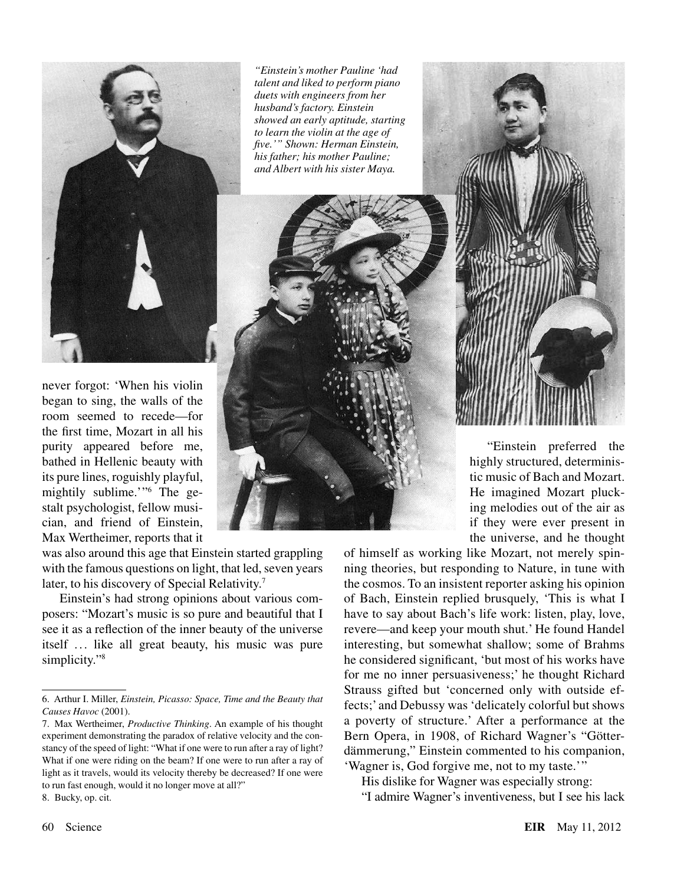

never forgot: 'When his violin began to sing, the walls of the room seemed to recede—for the first time, Mozart in all his purity appeared before me, bathed in Hellenic beauty with its pure lines, roguishly playful, mightily sublime.'"6 The gestalt psychologist, fellow musician, and friend of Einstein, Max Wertheimer, reports that it

was also around this age that Einstein started grappling with the famous questions on light, that led, seven years later, to his discovery of Special Relativity.<sup>7</sup>

Einstein's had strong opinions about various composers: "Mozart's music is so pure and beautiful that I see it as a reflection of the inner beauty of the universe itself ... like all great beauty, his music was pure simplicity."<sup>8</sup>

7. Max Wertheimer, *Productive Thinking*. An example of his thought experiment demonstrating the paradox of relative velocity and the constancy of the speed of light: "What if one were to run after a ray of light? What if one were riding on the beam? If one were to run after a ray of light as it travels, would its velocity thereby be decreased? If one were to run fast enough, would it no longer move at all?"

*"Einstein's mother Pauline 'had talent and liked to perform piano duets with engineers from her husband's factory. Einstein showed an early aptitude, starting to learn the violin at the age of five.'" Shown: Herman Einstein, his father; his mother Pauline; and Albert with his sister Maya.*

> "Einstein preferred the highly structured, deterministic music of Bach and Mozart. He imagined Mozart plucking melodies out of the air as if they were ever present in the universe, and he thought

of himself as working like Mozart, not merely spinning theories, but responding to Nature, in tune with the cosmos. To an insistent reporter asking his opinion of Bach, Einstein replied brusquely, 'This is what I have to say about Bach's life work: listen, play, love, revere—and keep your mouth shut.' He found Handel interesting, but somewhat shallow; some of Brahms he considered significant, 'but most of his works have for me no inner persuasiveness;' he thought Richard Strauss gifted but 'concerned only with outside effects;' and Debussy was 'delicately colorful but shows a poverty of structure.' After a performance at the Bern Opera, in 1908, of Richard Wagner's "Götterdämmerung," Einstein commented to his companion, 'Wagner is, God forgive me, not to my taste.'"

His dislike for Wagner was especially strong:

"I admire Wagner's inventiveness, but I see his lack

8. Bucky, op. cit.

<sup>6.</sup> Arthur I. Miller, *Einstein, Picasso: Space, Time and the Beauty that Causes Havoc* (2001).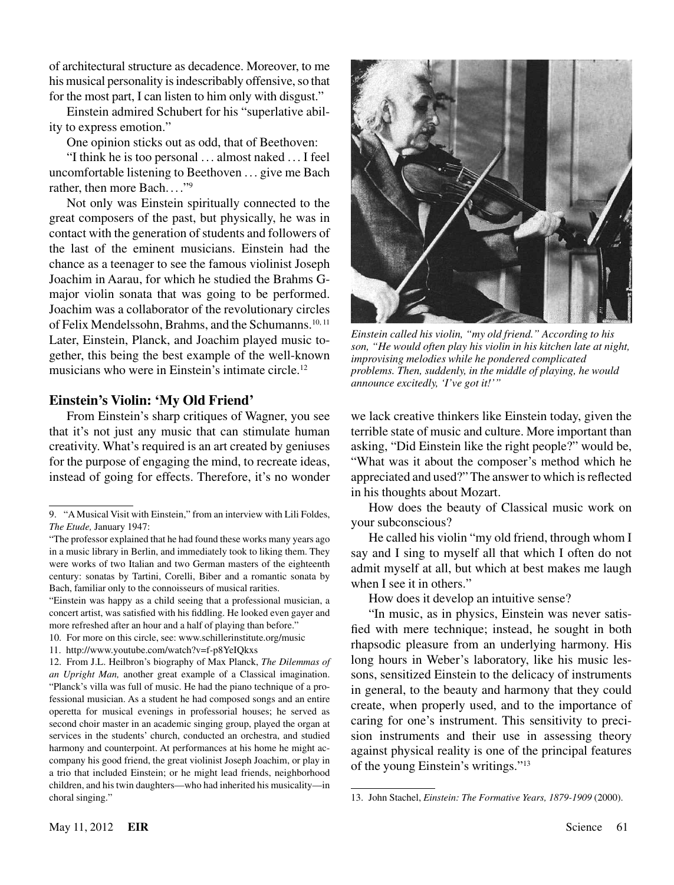of architectural structure as decadence. Moreover, to me his musical personality is indescribably offensive, so that for the most part, I can listen to him only with disgust."

Einstein admired Schubert for his "superlative ability to express emotion."

One opinion sticks out as odd, that of Beethoven:

"I think he is too personal . .. almost naked . .. I feel uncomfortable listening to Beethoven . . . give me Bach rather, then more Bach...."<sup>9</sup>

Not only was Einstein spiritually connected to the great composers of the past, but physically, he was in contact with the generation of students and followers of the last of the eminent musicians. Einstein had the chance as a teenager to see the famous violinist Joseph Joachim in Aarau, for which he studied the Brahms Gmajor violin sonata that was going to be performed. Joachim was a collaborator of the revolutionary circles of Felix Mendelssohn, Brahms, and the Schumanns.<sup>10, 11</sup> Later, Einstein, Planck, and Joachim played music together, this being the best example of the well-known musicians who were in Einstein's intimate circle.12

#### **Einstein's Violin: 'My Old Friend'**

From Einstein's sharp critiques of Wagner, you see that it's not just any music that can stimulate human creativity. What's required is an art created by geniuses for the purpose of engaging the mind, to recreate ideas, instead of going for effects. Therefore, it's no wonder

"Einstein was happy as a child seeing that a professional musician, a concert artist, was satisfied with his fiddling. He looked even gayer and more refreshed after an hour and a half of playing than before."



*Einstein called his violin, "my old friend." According to his son, "He would often play his violin in his kitchen late at night, improvising melodies while he pondered complicated problems. Then, suddenly, in the middle of playing, he would announce excitedly, 'I've got it!'"*

we lack creative thinkers like Einstein today, given the terrible state of music and culture. More important than asking, "Did Einstein like the right people?" would be, "What was it about the composer's method which he appreciated and used?" The answer to which is reflected in his thoughts about Mozart.

How does the beauty of Classical music work on your subconscious?

He called his violin "my old friend, through whom I say and I sing to myself all that which I often do not admit myself at all, but which at best makes me laugh when I see it in others."

How does it develop an intuitive sense?

"In music, as in physics, Einstein was never satisfied with mere technique; instead, he sought in both rhapsodic pleasure from an underlying harmony. His long hours in Weber's laboratory, like his music lessons, sensitized Einstein to the delicacy of instruments in general, to the beauty and harmony that they could create, when properly used, and to the importance of caring for one's instrument. This sensitivity to precision instruments and their use in assessing theory against physical reality is one of the principal features of the young Einstein's writings."13

<sup>9. &</sup>quot;A Musical Visit with Einstein," from an interview with Lili Foldes, *The Etude,* January 1947:

<sup>&</sup>quot;The professor explained that he had found these works many years ago in a music library in Berlin, and immediately took to liking them. They were works of two Italian and two German masters of the eighteenth century: sonatas by Tartini, Corelli, Biber and a romantic sonata by Bach, familiar only to the connoisseurs of musical rarities.

<sup>10.</sup> For more on this circle, see: www.schillerinstitute.org/music

<sup>11.</sup> http://www.youtube.com/watch?v=f-p8YeIQkxs

<sup>12.</sup> From J.L. Heilbron's biography of Max Planck, *The Dilemmas of an Upright Man,* another great example of a Classical imagination. "Planck's villa was full of music. He had the piano technique of a professional musician. As a student he had composed songs and an entire operetta for musical evenings in professorial houses; he served as second choir master in an academic singing group, played the organ at services in the students' church, conducted an orchestra, and studied harmony and counterpoint. At performances at his home he might accompany his good friend, the great violinist Joseph Joachim, or play in a trio that included Einstein; or he might lead friends, neighborhood children, and his twin daughters—who had inherited his musicality—in choral singing."

<sup>13.</sup> John Stachel, *Einstein: The Formative Years, 1879-1909* (2000).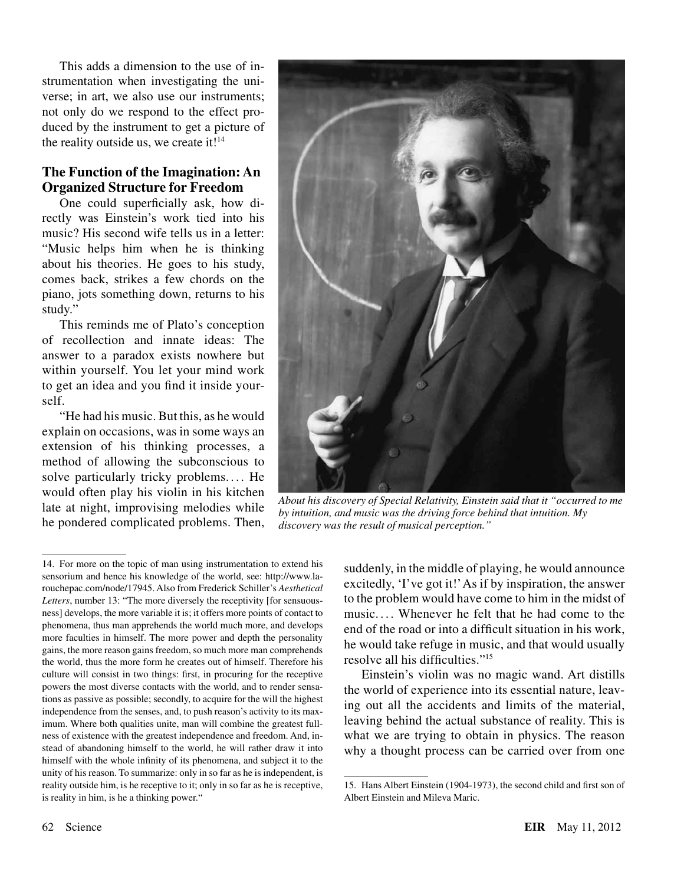This adds a dimension to the use of instrumentation when investigating the universe; in art, we also use our instruments; not only do we respond to the effect produced by the instrument to get a picture of the reality outside us, we create it!<sup>14</sup>

## **The Function of the Imagination: An Organized Structure for Freedom**

One could superficially ask, how directly was Einstein's work tied into his music? His second wife tells us in a letter: "Music helps him when he is thinking about his theories. He goes to his study, comes back, strikes a few chords on the piano, jots something down, returns to his study."

This reminds me of Plato's conception of recollection and innate ideas: The answer to a paradox exists nowhere but within yourself. You let your mind work to get an idea and you find it inside yourself.

"He had his music. But this, as he would explain on occasions, was in some ways an extension of his thinking processes, a method of allowing the subconscious to solve particularly tricky problems.... He would often play his violin in his kitchen late at night, improvising melodies while he pondered complicated problems. Then,



*About his discovery of Special Relativity, Einstein said that it "occurred to me by intuition, and music was the driving force behind that intuition. My discovery was the result of musical perception."*

suddenly, in the middle of playing, he would announce excitedly, 'I've got it!' As if by inspiration, the answer to the problem would have come to him in the midst of music. . . . Whenever he felt that he had come to the end of the road or into a difficult situation in his work, he would take refuge in music, and that would usually resolve all his difficulties."15

Einstein's violin was no magic wand. Art distills the world of experience into its essential nature, leaving out all the accidents and limits of the material, leaving behind the actual substance of reality. This is what we are trying to obtain in physics. The reason why a thought process can be carried over from one

<sup>14.</sup> For more on the topic of man using instrumentation to extend his sensorium and hence his knowledge of the world, see: http://www.larouchepac.com/node/17945. Also from Frederick Schiller's *Aesthetical Letters*, number 13: "The more diversely the receptivity [for sensuousness] develops, the more variable it is; it offers more points of contact to phenomena, thus man apprehends the world much more, and develops more faculties in himself. The more power and depth the personality gains, the more reason gains freedom, so much more man comprehends the world, thus the more form he creates out of himself. Therefore his culture will consist in two things: first, in procuring for the receptive powers the most diverse contacts with the world, and to render sensations as passive as possible; secondly, to acquire for the will the highest independence from the senses, and, to push reason's activity to its maximum. Where both qualities unite, man will combine the greatest fullness of existence with the greatest independence and freedom. And, instead of abandoning himself to the world, he will rather draw it into himself with the whole infinity of its phenomena, and subject it to the unity of his reason. To summarize: only in so far as he is independent, is reality outside him, is he receptive to it; only in so far as he is receptive, is reality in him, is he a thinking power."

<sup>15.</sup> Hans Albert Einstein (1904-1973), the second child and first son of Albert Einstein and Mileva Maric.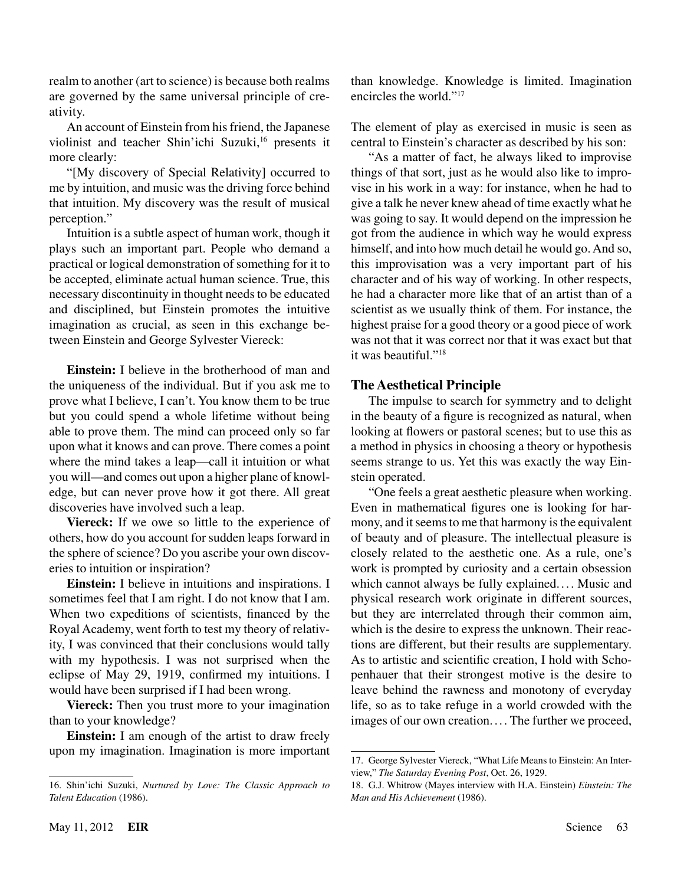realm to another (art to science) is because both realms are governed by the same universal principle of creativity.

An account of Einstein from his friend, the Japanese violinist and teacher Shin'ichi Suzuki,<sup>16</sup> presents it more clearly:

"[My discovery of Special Relativity] occurred to me by intuition, and music was the driving force behind that intuition. My discovery was the result of musical perception."

Intuition is a subtle aspect of human work, though it plays such an important part. People who demand a practical or logical demonstration of something for it to be accepted, eliminate actual human science. True, this necessary discontinuity in thought needs to be educated and disciplined, but Einstein promotes the intuitive imagination as crucial, as seen in this exchange between Einstein and George Sylvester Viereck:

**Einstein:** I believe in the brotherhood of man and the uniqueness of the individual. But if you ask me to prove what I believe, I can't. You know them to be true but you could spend a whole lifetime without being able to prove them. The mind can proceed only so far upon what it knows and can prove. There comes a point where the mind takes a leap—call it intuition or what you will—and comes out upon a higher plane of knowledge, but can never prove how it got there. All great discoveries have involved such a leap.

**Viereck:** If we owe so little to the experience of others, how do you account for sudden leaps forward in the sphere of science? Do you ascribe your own discoveries to intuition or inspiration?

**Einstein:** I believe in intuitions and inspirations. I sometimes feel that I am right. I do not know that I am. When two expeditions of scientists, financed by the Royal Academy, went forth to test my theory of relativity, I was convinced that their conclusions would tally with my hypothesis. I was not surprised when the eclipse of May 29, 1919, confirmed my intuitions. I would have been surprised if I had been wrong.

**Viereck:** Then you trust more to your imagination than to your knowledge?

**Einstein:** I am enough of the artist to draw freely upon my imagination. Imagination is more important than knowledge. Knowledge is limited. Imagination encircles the world."17

The element of play as exercised in music is seen as central to Einstein's character as described by his son:

"As a matter of fact, he always liked to improvise things of that sort, just as he would also like to improvise in his work in a way: for instance, when he had to give a talk he never knew ahead of time exactly what he was going to say. It would depend on the impression he got from the audience in which way he would express himself, and into how much detail he would go. And so, this improvisation was a very important part of his character and of his way of working. In other respects, he had a character more like that of an artist than of a scientist as we usually think of them. For instance, the highest praise for a good theory or a good piece of work was not that it was correct nor that it was exact but that it was beautiful."<sup>18</sup>

## **The Aesthetical Principle**

The impulse to search for symmetry and to delight in the beauty of a figure is recognized as natural, when looking at flowers or pastoral scenes; but to use this as a method in physics in choosing a theory or hypothesis seems strange to us. Yet this was exactly the way Einstein operated.

"One feels a great aesthetic pleasure when working. Even in mathematical figures one is looking for harmony, and it seems to me that harmony is the equivalent of beauty and of pleasure. The intellectual pleasure is closely related to the aesthetic one. As a rule, one's work is prompted by curiosity and a certain obsession which cannot always be fully explained.... Music and physical research work originate in different sources, but they are interrelated through their common aim, which is the desire to express the unknown. Their reactions are different, but their results are supplementary. As to artistic and scientific creation, I hold with Schopenhauer that their strongest motive is the desire to leave behind the rawness and monotony of everyday life, so as to take refuge in a world crowded with the images of our own creation.... The further we proceed,

<sup>16.</sup> Shin'ichi Suzuki, *Nurtured by Love: The Classic Approach to Talent Education* (1986).

<sup>17.</sup> George Sylvester Viereck, "What Life Means to Einstein: An Interview," *The Saturday Evening Post*, Oct. 26, 1929.

<sup>18.</sup> G.J. Whitrow (Mayes interview with H.A. Einstein) *Einstein: The Man and His Achievement* (1986).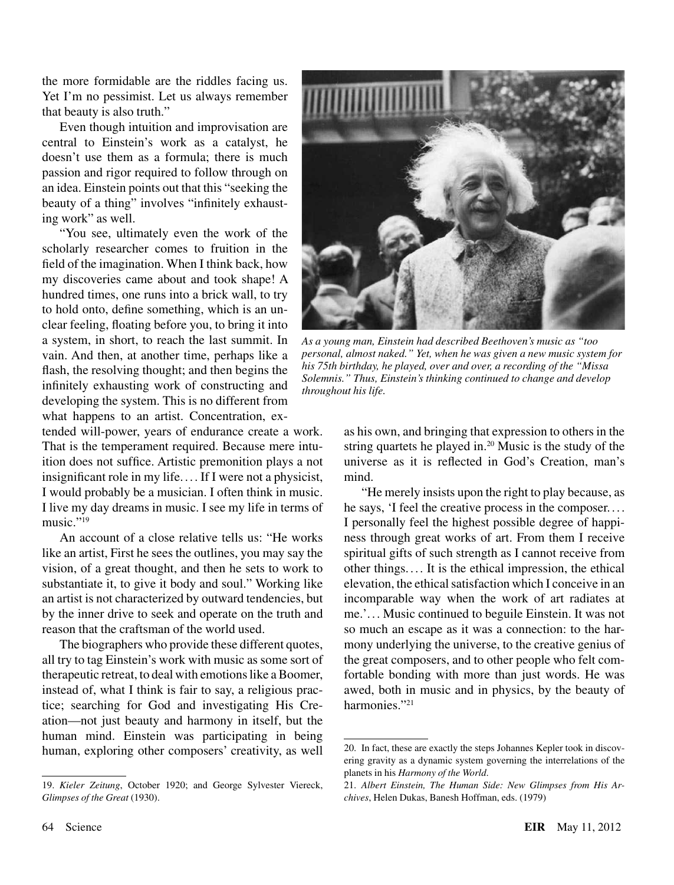the more formidable are the riddles facing us. Yet I'm no pessimist. Let us always remember that beauty is also truth."

Even though intuition and improvisation are central to Einstein's work as a catalyst, he doesn't use them as a formula; there is much passion and rigor required to follow through on an idea. Einstein points out that this "seeking the beauty of a thing" involves "infinitely exhausting work" as well.

"You see, ultimately even the work of the scholarly researcher comes to fruition in the field of the imagination. When I think back, how my discoveries came about and took shape! A hundred times, one runs into a brick wall, to try to hold onto, define something, which is an unclear feeling, floating before you, to bring it into a system, in short, to reach the last summit. In vain. And then, at another time, perhaps like a flash, the resolving thought; and then begins the infinitely exhausting work of constructing and developing the system. This is no different from what happens to an artist. Concentration, ex-

tended will-power, years of endurance create a work. That is the temperament required. Because mere intuition does not suffice. Artistic premonition plays a not insignificant role in my life. ... If I were not a physicist, I would probably be a musician. I often think in music. I live my day dreams in music. I see my life in terms of music."<sup>19</sup>

An account of a close relative tells us: "He works like an artist, First he sees the outlines, you may say the vision, of a great thought, and then he sets to work to substantiate it, to give it body and soul." Working like an artist is not characterized by outward tendencies, but by the inner drive to seek and operate on the truth and reason that the craftsman of the world used.

The biographers who provide these different quotes, all try to tag Einstein's work with music as some sort of therapeutic retreat, to deal with emotions like a Boomer, instead of, what I think is fair to say, a religious practice; searching for God and investigating His Creation—not just beauty and harmony in itself, but the human mind. Einstein was participating in being human, exploring other composers' creativity, as well



*As a young man, Einstein had described Beethoven's music as "too personal, almost naked." Yet, when he was given a new music system for his 75th birthday, he played, over and over, a recording of the "Missa Solemnis." Thus, Einstein's thinking continued to change and develop throughout his life.*

as his own, and bringing that expression to others in the string quartets he played in. $20$  Music is the study of the universe as it is reflected in God's Creation, man's mind.

"He merely insists upon the right to play because, as he says, 'I feel the creative process in the composer. ... I personally feel the highest possible degree of happiness through great works of art. From them I receive spiritual gifts of such strength as I cannot receive from other things. ... It is the ethical impression, the ethical elevation, the ethical satisfaction which I conceive in an incomparable way when the work of art radiates at me.'. .. Music continued to beguile Einstein. It was not so much an escape as it was a connection: to the harmony underlying the universe, to the creative genius of the great composers, and to other people who felt comfortable bonding with more than just words. He was awed, both in music and in physics, by the beauty of harmonies."<sup>21</sup>

<sup>19.</sup> *Kieler Zeitung*, October 1920; and George Sylvester Viereck, *Glimpses of the Great* (1930).

<sup>20.</sup> In fact, these are exactly the steps Johannes Kepler took in discovering gravity as a dynamic system governing the interrelations of the planets in his *Harmony of the World*.

<sup>21.</sup> *Albert Einstein, The Human Side: New Glimpses from His Archives*, Helen Dukas, Banesh Hoffman, eds. (1979)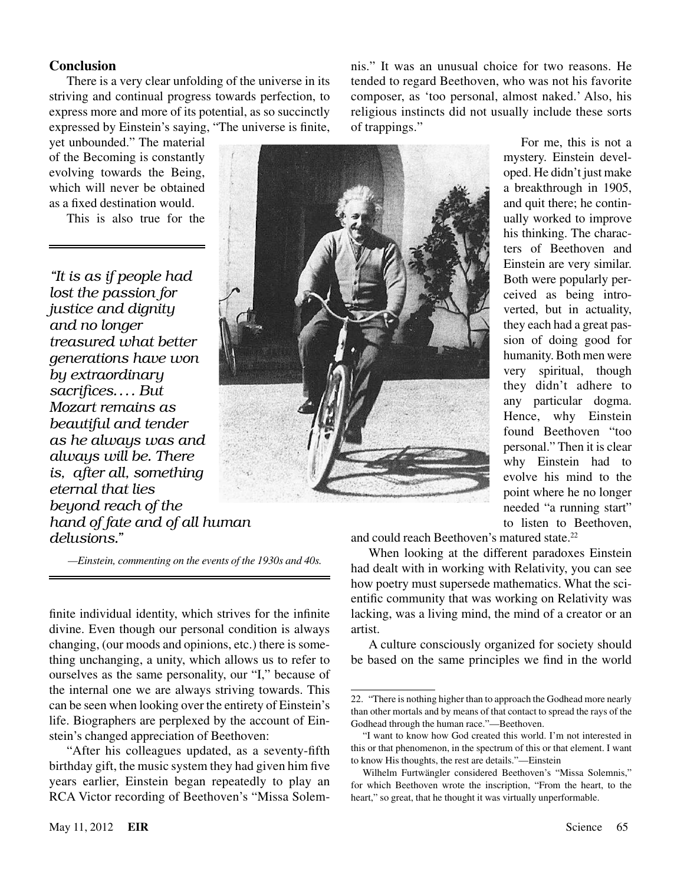#### **Conclusion**

There is a very clear unfolding of the universe in its striving and continual progress towards perfection, to express more and more of its potential, as so succinctly expressed by Einstein's saying, "The universe is finite,

yet unbounded." The material of the Becoming is constantly evolving towards the Being, which will never be obtained as a fixed destination would.

This is also true for the

*"It is as if people had lost the passion for justice and dignity and no longer treasured what better generations have won by extraordinary sacrifices.... But Mozart remains as beautiful and tender as he always was and always will be. There is, after all, something eternal that lies beyond reach of the hand of fate and of all human delusions."*

nis." It was an unusual choice for two reasons. He tended to regard Beethoven, who was not his favorite composer, as 'too personal, almost naked.' Also, his religious instincts did not usually include these sorts of trappings."



 *—Einstein, commenting on the events of the 1930s and 40s.*

finite individual identity, which strives for the infinite divine. Even though our personal condition is always changing, (our moods and opinions, etc.) there is something unchanging, a unity, which allows us to refer to ourselves as the same personality, our "I," because of the internal one we are always striving towards. This can be seen when looking over the entirety of Einstein's life. Biographers are perplexed by the account of Einstein's changed appreciation of Beethoven:

"After his colleagues updated, as a seventy-fifth birthday gift, the music system they had given him five years earlier, Einstein began repeatedly to play an RCA Victor recording of Beethoven's "Missa Solemmystery. Einstein developed. He didn't just make a breakthrough in 1905, and quit there; he continually worked to improve his thinking. The characters of Beethoven and Einstein are very similar. Both were popularly perceived as being introverted, but in actuality, they each had a great passion of doing good for humanity. Both men were very spiritual, though they didn't adhere to any particular dogma. Hence, why Einstein found Beethoven "too personal." Then it is clear why Einstein had to evolve his mind to the point where he no longer needed "a running start" to listen to Beethoven,

For me, this is not a

and could reach Beethoven's matured state.<sup>22</sup>

When looking at the different paradoxes Einstein had dealt with in working with Relativity, you can see how poetry must supersede mathematics. What the scientific community that was working on Relativity was lacking, was a living mind, the mind of a creator or an artist.

A culture consciously organized for society should be based on the same principles we find in the world

<sup>22.</sup> "There is nothing higher than to approach the Godhead more nearly than other mortals and by means of that contact to spread the rays of the Godhead through the human race."—Beethoven.

<sup>&</sup>quot;I want to know how God created this world. I'm not interested in this or that phenomenon, in the spectrum of this or that element. I want to know His thoughts, the rest are details."—Einstein

Wilhelm Furtwängler considered Beethoven's "Missa Solemnis," for which Beethoven wrote the inscription, "From the heart, to the heart," so great, that he thought it was virtually unperformable.